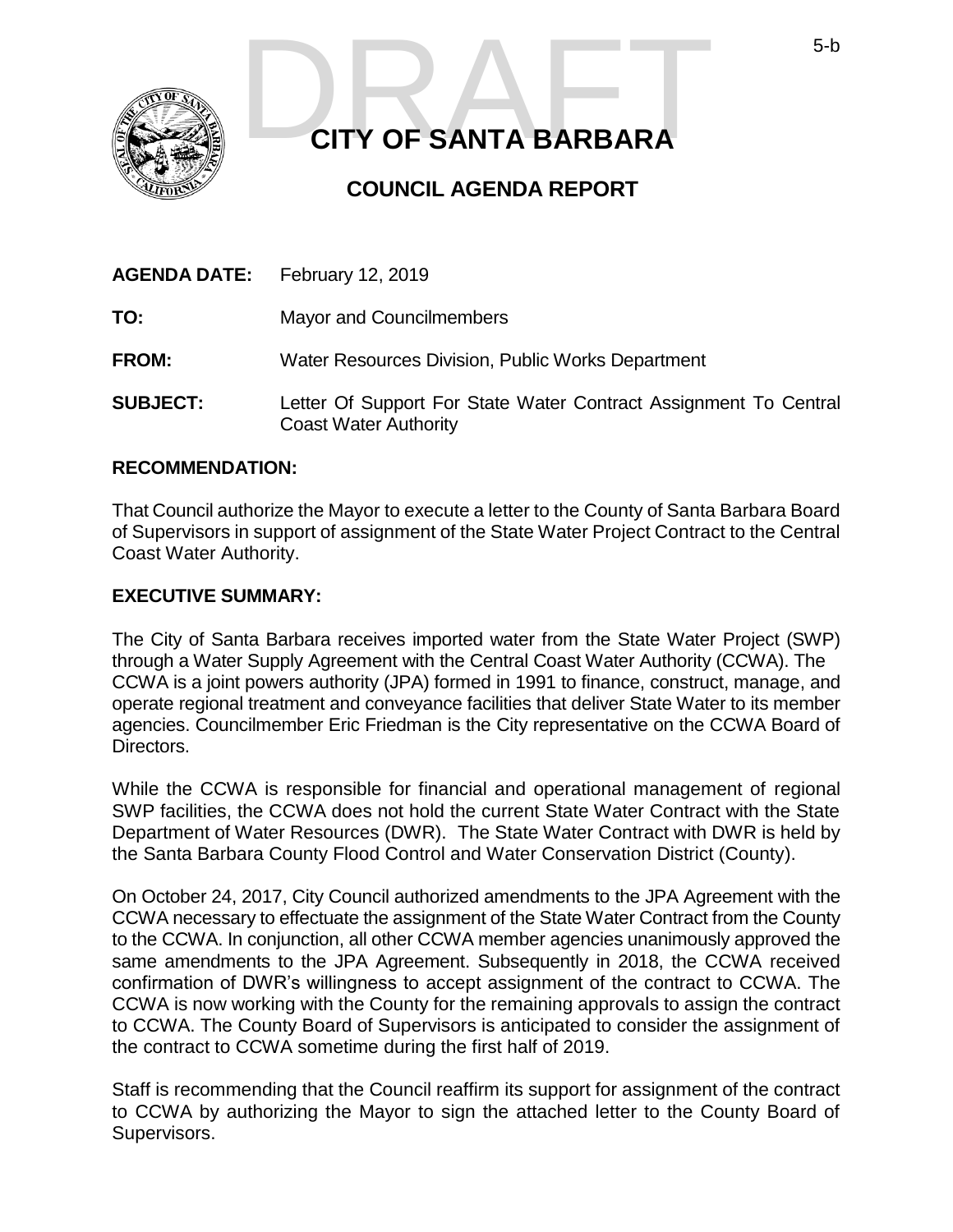

# **CITY OF SANTA BARBARA**  5-b<br>CITY OF SANTA BARBARA

### **COUNCIL AGENDA REPORT**

| <b>AGENDA DATE:</b> | <b>February 12, 2019</b>                                                                         |
|---------------------|--------------------------------------------------------------------------------------------------|
| TO:                 | <b>Mayor and Councilmembers</b>                                                                  |
| <b>FROM:</b>        | <b>Water Resources Division, Public Works Department</b>                                         |
| <b>SUBJECT:</b>     | Letter Of Support For State Water Contract Assignment To Central<br><b>Coast Water Authority</b> |

#### **RECOMMENDATION:**

That Council authorize the Mayor to execute a letter to the County of Santa Barbara Board of Supervisors in support of assignment of the State Water Project Contract to the Central Coast Water Authority.

#### **EXECUTIVE SUMMARY:**

The City of Santa Barbara receives imported water from the State Water Project (SWP) through a Water Supply Agreement with the Central Coast Water Authority (CCWA). The CCWA is a joint powers authority (JPA) formed in 1991 to finance, construct, manage, and operate regional treatment and conveyance facilities that deliver State Water to its member agencies. Councilmember Eric Friedman is the City representative on the CCWA Board of Directors.

While the CCWA is responsible for financial and operational management of regional SWP facilities, the CCWA does not hold the current State Water Contract with the State Department of Water Resources (DWR). The State Water Contract with DWR is held by the Santa Barbara County Flood Control and Water Conservation District (County).

On October 24, 2017, City Council authorized amendments to the JPA Agreement with the CCWA necessary to effectuate the assignment of the State Water Contract from the County to the CCWA. In conjunction, all other CCWA member agencies unanimously approved the same amendments to the JPA Agreement. Subsequently in 2018, the CCWA received confirmation of DWR's willingness to accept assignment of the contract to CCWA. The CCWA is now working with the County for the remaining approvals to assign the contract to CCWA. The County Board of Supervisors is anticipated to consider the assignment of the contract to CCWA sometime during the first half of 2019.

Staff is recommending that the Council reaffirm its support for assignment of the contract to CCWA by authorizing the Mayor to sign the attached letter to the County Board of Supervisors.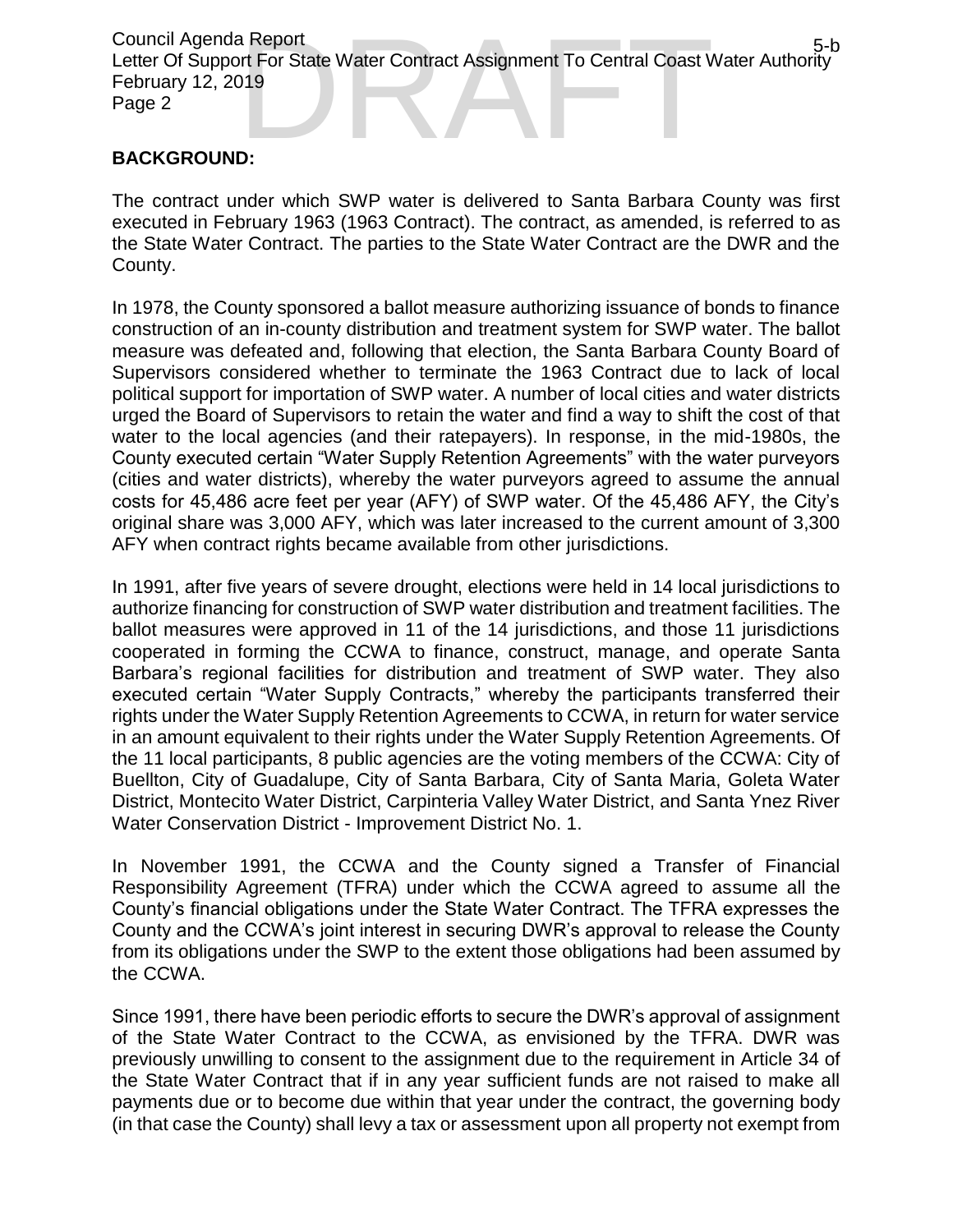Council Agenda Report Letter Of Support For State Water Contract Assignment To Central Coast Water Authority February 12, 2019 Page 2 a Report<br>
ort For State Water Contract Assignment To Central Coast Water Authority<br>
19<br>
D:

#### **BACKGROUND:**

The contract under which SWP water is delivered to Santa Barbara County was first executed in February 1963 (1963 Contract). The contract, as amended, is referred to as the State Water Contract. The parties to the State Water Contract are the DWR and the County.

In 1978, the County sponsored a ballot measure authorizing issuance of bonds to finance construction of an in-county distribution and treatment system for SWP water. The ballot measure was defeated and, following that election, the Santa Barbara County Board of Supervisors considered whether to terminate the 1963 Contract due to lack of local political support for importation of SWP water. A number of local cities and water districts urged the Board of Supervisors to retain the water and find a way to shift the cost of that water to the local agencies (and their ratepayers). In response, in the mid-1980s, the County executed certain "Water Supply Retention Agreements" with the water purveyors (cities and water districts), whereby the water purveyors agreed to assume the annual costs for 45,486 acre feet per year (AFY) of SWP water. Of the 45,486 AFY, the City's original share was 3,000 AFY, which was later increased to the current amount of 3,300 AFY when contract rights became available from other jurisdictions.

In 1991, after five years of severe drought, elections were held in 14 local jurisdictions to authorize financing for construction of SWP water distribution and treatment facilities. The ballot measures were approved in 11 of the 14 jurisdictions, and those 11 jurisdictions cooperated in forming the CCWA to finance, construct, manage, and operate Santa Barbara's regional facilities for distribution and treatment of SWP water. They also executed certain "Water Supply Contracts," whereby the participants transferred their rights under the Water Supply Retention Agreements to CCWA, in return for water service in an amount equivalent to their rights under the Water Supply Retention Agreements. Of the 11 local participants, 8 public agencies are the voting members of the CCWA: City of Buellton, City of Guadalupe, City of Santa Barbara, City of Santa Maria, Goleta Water District, Montecito Water District, Carpinteria Valley Water District, and Santa Ynez River Water Conservation District - Improvement District No. 1.

In November 1991, the CCWA and the County signed a Transfer of Financial Responsibility Agreement (TFRA) under which the CCWA agreed to assume all the County's financial obligations under the State Water Contract. The TFRA expresses the County and the CCWA's joint interest in securing DWR's approval to release the County from its obligations under the SWP to the extent those obligations had been assumed by the CCWA.

Since 1991, there have been periodic efforts to secure the DWR's approval of assignment of the State Water Contract to the CCWA, as envisioned by the TFRA. DWR was previously unwilling to consent to the assignment due to the requirement in Article 34 of the State Water Contract that if in any year sufficient funds are not raised to make all payments due or to become due within that year under the contract, the governing body (in that case the County) shall levy a tax or assessment upon all property not exempt from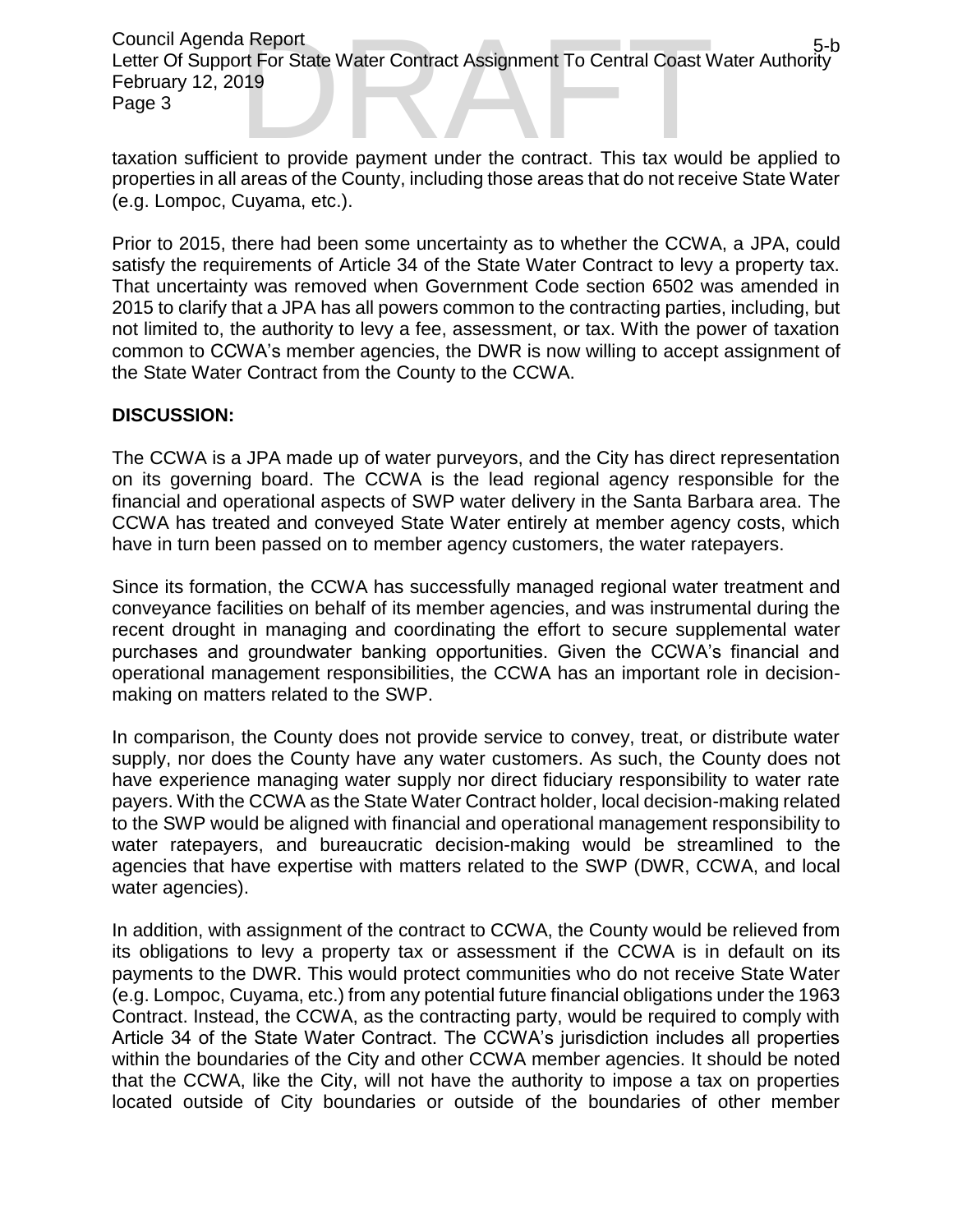Council Agenda Report Letter Of Support For State Water Contract Assignment To Central Coast Water Authority February 12, 2019 Page 3 a Report<br>
ort For State Water Contract Assignment To Central Coast Water Authority<br>
19<br>
ent to provide payment under the contract. This tax would be applied to

taxation sufficient to provide payment under the contract. This tax would be applied to properties in all areas of the County, including those areas that do not receive State Water (e.g. Lompoc, Cuyama, etc.).

Prior to 2015, there had been some uncertainty as to whether the CCWA, a JPA, could satisfy the requirements of Article 34 of the State Water Contract to levy a property tax. That uncertainty was removed when Government Code section 6502 was amended in 2015 to clarify that a JPA has all powers common to the contracting parties, including, but not limited to, the authority to levy a fee, assessment, or tax. With the power of taxation common to CCWA's member agencies, the DWR is now willing to accept assignment of the State Water Contract from the County to the CCWA.

#### **DISCUSSION:**

The CCWA is a JPA made up of water purveyors, and the City has direct representation on its governing board. The CCWA is the lead regional agency responsible for the financial and operational aspects of SWP water delivery in the Santa Barbara area. The CCWA has treated and conveyed State Water entirely at member agency costs, which have in turn been passed on to member agency customers, the water ratepayers.

Since its formation, the CCWA has successfully managed regional water treatment and conveyance facilities on behalf of its member agencies, and was instrumental during the recent drought in managing and coordinating the effort to secure supplemental water purchases and groundwater banking opportunities. Given the CCWA's financial and operational management responsibilities, the CCWA has an important role in decisionmaking on matters related to the SWP.

In comparison, the County does not provide service to convey, treat, or distribute water supply, nor does the County have any water customers. As such, the County does not have experience managing water supply nor direct fiduciary responsibility to water rate payers. With the CCWA as the State Water Contract holder, local decision-making related to the SWP would be aligned with financial and operational management responsibility to water ratepayers, and bureaucratic decision-making would be streamlined to the agencies that have expertise with matters related to the SWP (DWR, CCWA, and local water agencies).

In addition, with assignment of the contract to CCWA, the County would be relieved from its obligations to levy a property tax or assessment if the CCWA is in default on its payments to the DWR. This would protect communities who do not receive State Water (e.g. Lompoc, Cuyama, etc.) from any potential future financial obligations under the 1963 Contract. Instead, the CCWA, as the contracting party, would be required to comply with Article 34 of the State Water Contract. The CCWA's jurisdiction includes all properties within the boundaries of the City and other CCWA member agencies. It should be noted that the CCWA, like the City, will not have the authority to impose a tax on properties located outside of City boundaries or outside of the boundaries of other member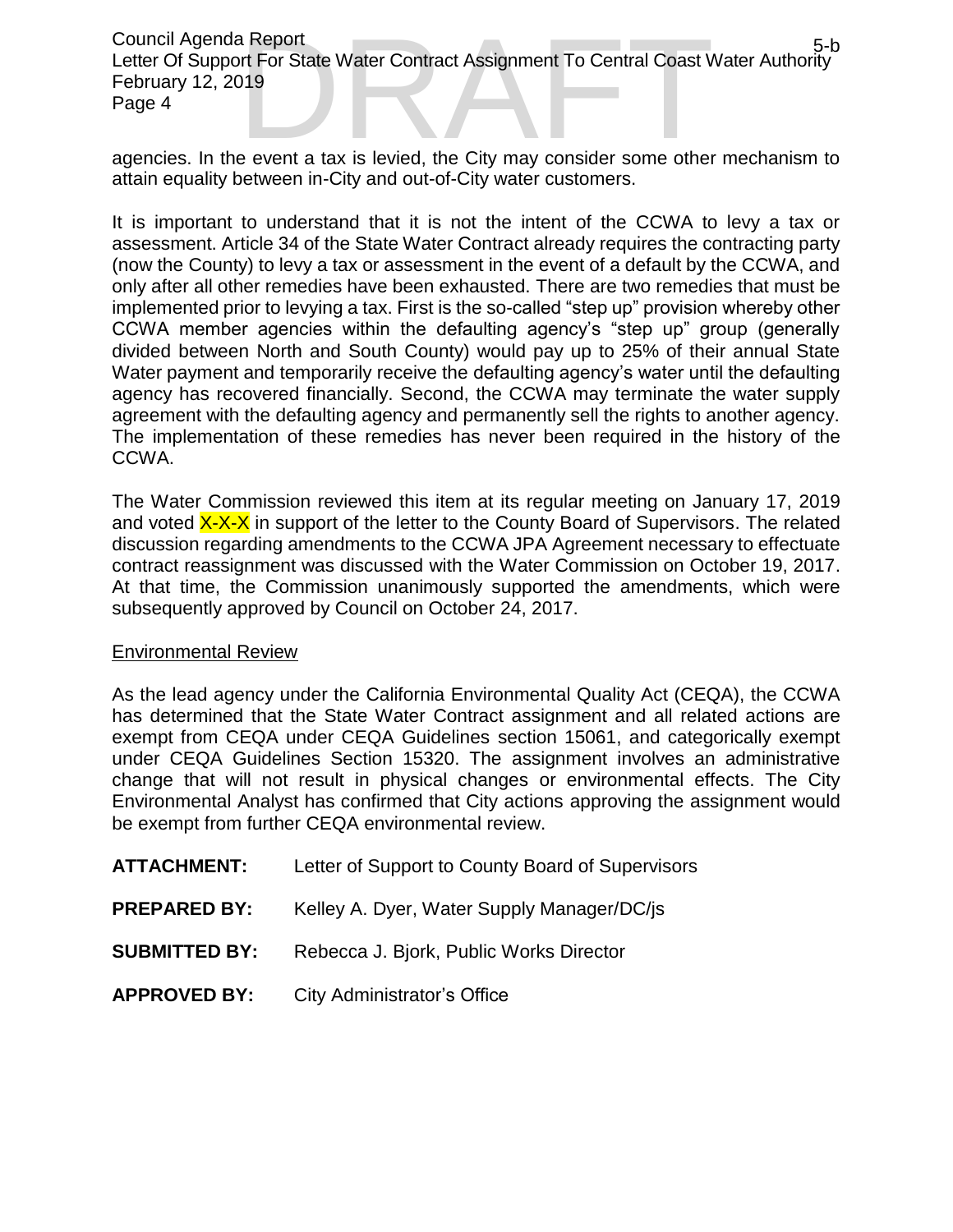Council Agenda Report Letter Of Support For State Water Contract Assignment To Central Coast Water Authority February 12, 2019 Page 4 Council Agenda Report<br>
Letter Of Support For State Water Contract Assignment To Central Coast Water Authority<br>
February 12, 2019<br>
Page 4<br>
agencies. In the event a tax is levied, the City may consider some other mechanism t

attain equality between in-City and out-of-City water customers.

It is important to understand that it is not the intent of the CCWA to levy a tax or assessment. Article 34 of the State Water Contract already requires the contracting party (now the County) to levy a tax or assessment in the event of a default by the CCWA, and only after all other remedies have been exhausted. There are two remedies that must be implemented prior to levying a tax. First is the so-called "step up" provision whereby other CCWA member agencies within the defaulting agency's "step up" group (generally divided between North and South County) would pay up to 25% of their annual State Water payment and temporarily receive the defaulting agency's water until the defaulting agency has recovered financially. Second, the CCWA may terminate the water supply agreement with the defaulting agency and permanently sell the rights to another agency. The implementation of these remedies has never been required in the history of the CCWA.

The Water Commission reviewed this item at its regular meeting on January 17, 2019 and voted  $X-X-X$  in support of the letter to the County Board of Supervisors. The related discussion regarding amendments to the CCWA JPA Agreement necessary to effectuate contract reassignment was discussed with the Water Commission on October 19, 2017. At that time, the Commission unanimously supported the amendments, which were subsequently approved by Council on October 24, 2017.

#### Environmental Review

As the lead agency under the California Environmental Quality Act (CEQA), the CCWA has determined that the State Water Contract assignment and all related actions are exempt from CEQA under CEQA Guidelines section 15061, and categorically exempt under CEQA Guidelines Section 15320. The assignment involves an administrative change that will not result in physical changes or environmental effects. The City Environmental Analyst has confirmed that City actions approving the assignment would be exempt from further CEQA environmental review.

| <b>ATTACHMENT:</b>   | Letter of Support to County Board of Supervisors |
|----------------------|--------------------------------------------------|
| <b>PREPARED BY:</b>  | Kelley A. Dyer, Water Supply Manager/DC/js       |
| <b>SUBMITTED BY:</b> | Rebecca J. Bjork, Public Works Director          |
| <b>APPROVED BY:</b>  | City Administrator's Office                      |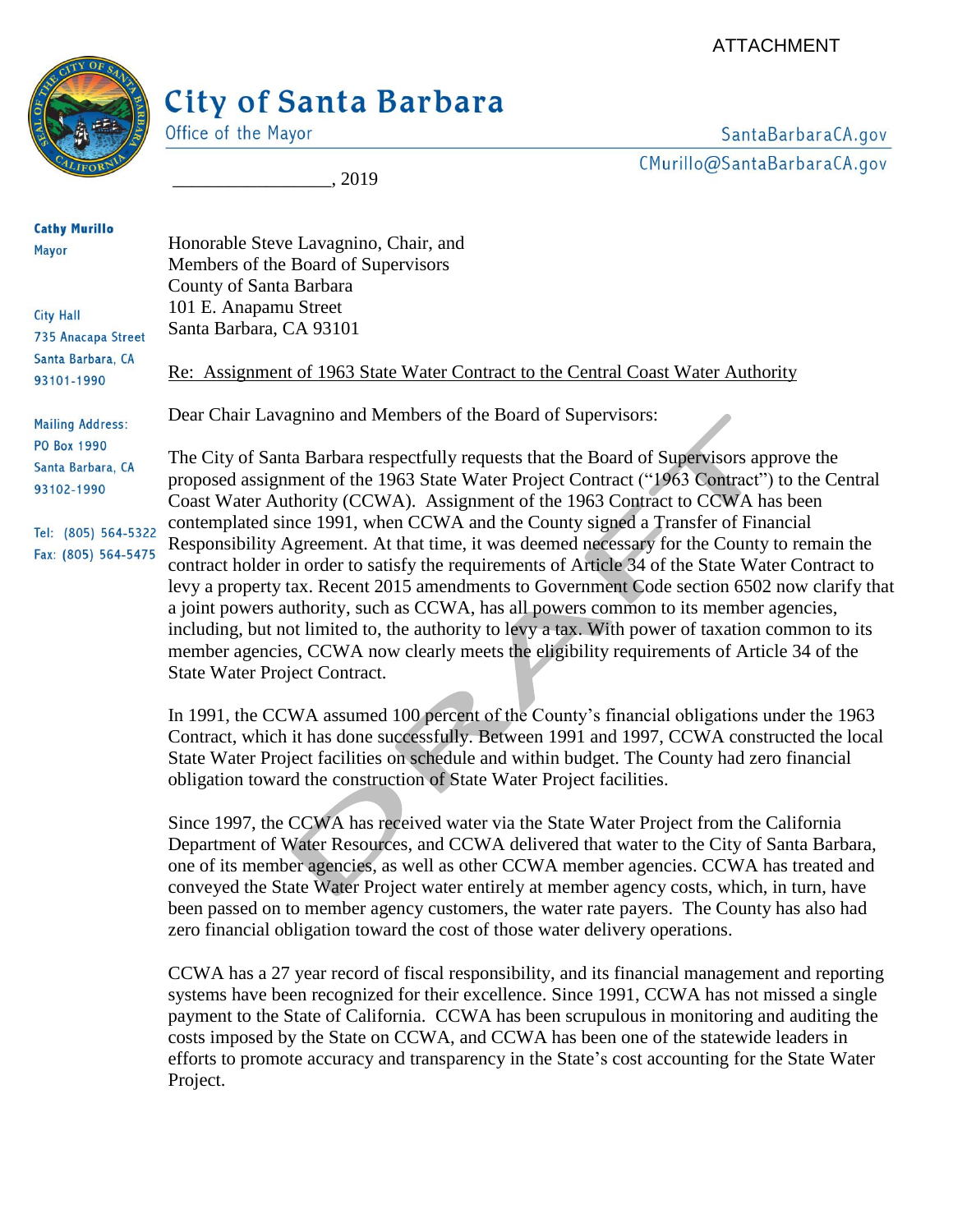## City of Santa Barbara



Office of the Mayor

\_\_\_\_\_\_\_\_\_\_\_\_\_\_\_\_\_, 2019

SantaBarbaraCA.gov CMurillo@SantaBarbaraCA.gov

**Cathy Murillo** Honorable Steve Lavagnino, Chair, and **Mayor** Members of the Board of Supervisors County of Santa Barbara 101 E. Anapamu Street **City Hall** Santa Barbara, CA 93101 735 Anacapa Street Santa Barbara, CA Re: Assignment of 1963 State Water Contract to the Central Coast Water Authority 93101-1990 Dear Chair Lavagnino and Members of the Board of Supervisors: **Mailing Address: PO Box 1990** The City of Santa Barbara respectfully requests that the Board of Supervisors approve the Santa Barbara, CA proposed assignment of the 1963 State Water Project Contract ("1963 Contract") to the Central 93102-1990 Coast Water Authority (CCWA). Assignment of the 1963 Contract to CCWA has been contemplated since 1991, when CCWA and the County signed a Transfer of Financial Tel: (805) 564-5322 Responsibility Agreement. At that time, it was deemed necessary for the County to remain the Fax: (805) 564-5475 contract holder in order to satisfy the requirements of Article 34 of the State Water Contract to levy a property tax. Recent 2015 amendments to Government Code section 6502 now clarify that a joint powers authority, such as CCWA, has all powers common to its member agencies, including, but not limited to, the authority to levy a tax. With power of taxation common to its member agencies, CCWA now clearly meets the eligibility requirements of Article 34 of the

State Water Project Contract.

In 1991, the CCWA assumed 100 percent of the County's financial obligations under the 1963 Contract, which it has done successfully. Between 1991 and 1997, CCWA constructed the local State Water Project facilities on schedule and within budget. The County had zero financial obligation toward the construction of State Water Project facilities.

Since 1997, the CCWA has received water via the State Water Project from the California Department of Water Resources, and CCWA delivered that water to the City of Santa Barbara, one of its member agencies, as well as other CCWA member agencies. CCWA has treated and conveyed the State Water Project water entirely at member agency costs, which, in turn, have been passed on to member agency customers, the water rate payers. The County has also had zero financial obligation toward the cost of those water delivery operations.

CCWA has a 27 year record of fiscal responsibility, and its financial management and reporting systems have been recognized for their excellence. Since 1991, CCWA has not missed a single payment to the State of California. CCWA has been scrupulous in monitoring and auditing the costs imposed by the State on CCWA, and CCWA has been one of the statewide leaders in efforts to promote accuracy and transparency in the State's cost accounting for the State Water Project.